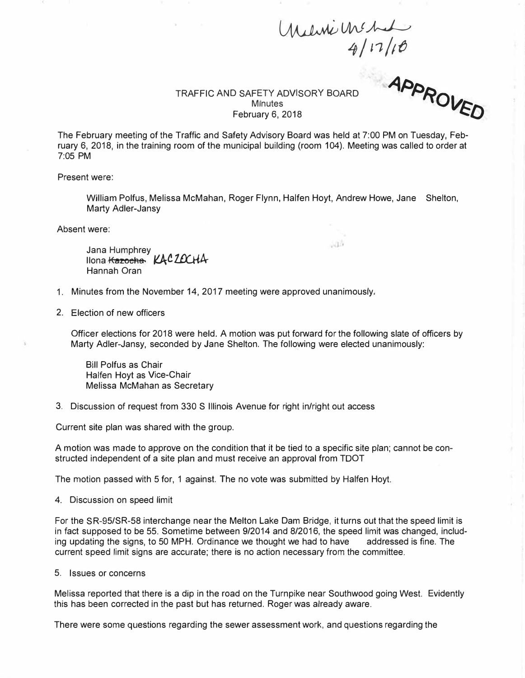## *�Uv\f� 4/ r1/1fJ*

 $\sim 10^5$ 

TRAFFIC AND SAFETY ADVISORY BOARD **Minutes** February 6, 2018

APPROVED

The February meeting of the Traffic and Safety Advisory Board was held at 7:00 PM on Tuesday, February 6, 2018, in the training room of the municipal building (room 104). Meeting was called to order at 7:05 PM

Present were:

William Polfus, Melissa McMahan, Roger Flynn, Halfen Hoyt, Andrew Howe, Jane Shelton, Marty Adler-Jansy

Absent were:

Jana Humphrey Ilona <del>Kazocha</del> KACZOCHA Hannah Oran

- 1. Minutes from the November 14, 2017 meeting were approved unanimously,
- 2. Election of new officers

Officer elections for 2018 were held. A motion was put forward for the following slate of officers by Marty Adler-Jansy, seconded by Jane Shelton. The following were elected unanimously:

Bill Polfus as Chair Halfen Hoyt as Vice-Chair Melissa McMahan as Secretary

3. Discussion of request from 330 S Illinois Avenue for right in/right out access

Current site plan was shared with the group.

A motion was made to approve on the condition that it be tied to a specific site plan; cannot be constructed independent of a site plan and must receive an approval from TOOT

The motion passed with 5 for, 1 against. The no vote was submitted by Halfen Hoyt.

4. Discussion on speed limit

For the SR-95/SR-58 interchange near the Melton Lake Dam Bridge, it turns out that the speed limit is in fact supposed to be 55. Sometime between 9/2014 and 8/2016, the speed limit was changed, including updating the signs, to 50 MPH. Ordinance we thought we had to have addressed is fine. The current speed limit signs are accurate; there is no action necessary from the committee.

5. Issues or concerns

Melissa reported that there is a dip in the road on the Turnpike near Southwood going West. Evidently this has been corrected in the past but has returned. Roger was already aware.

There were some questions regarding the sewer assessment work, and questions regarding the